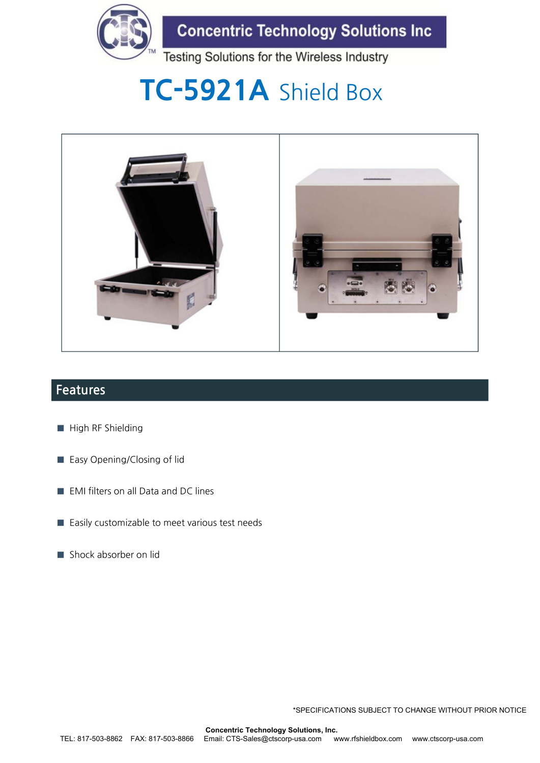

**Concentric Technology Solutions Inc** 

Testing Solutions for the Wireless Industry

# **TC-5921A** Shield Box



### **Features**

- **■** High RF Shielding
- Easy Opening/Closing of lid
- EMI filters on all Data and DC lines
- Easily customizable to meet various test needs
- Shock absorber on lid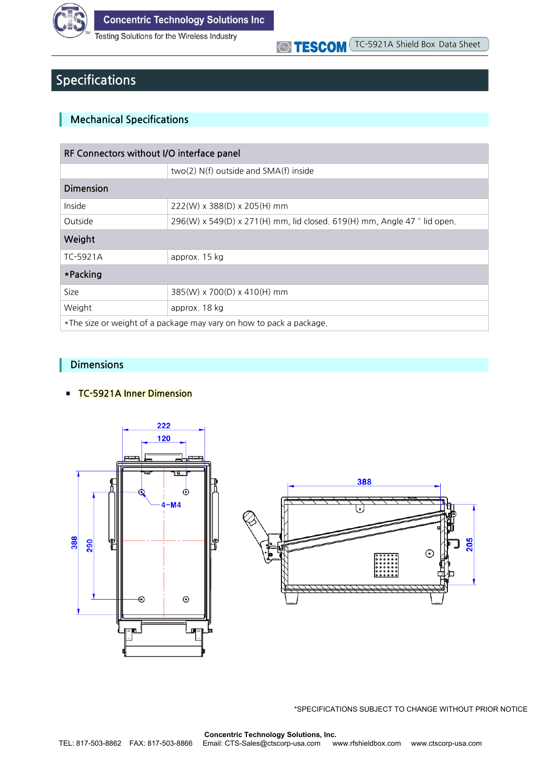

**Testing Solutions for the Wireless Industry** 

## TESCOM TC-5921A Shield Box Data Sheet

### **Specifications**

#### **Mechanical Specifications**

| RF Connectors without I/O interface panel                           |                                                                          |  |  |  |
|---------------------------------------------------------------------|--------------------------------------------------------------------------|--|--|--|
|                                                                     | two(2) N(f) outside and SMA(f) inside                                    |  |  |  |
| Dimension                                                           |                                                                          |  |  |  |
| Inside                                                              | 222(W) x 388(D) x 205(H) mm                                              |  |  |  |
| Outside                                                             | 296(W) x 549(D) x 271(H) mm, lid closed. 619(H) mm, Angle 47 ° lid open. |  |  |  |
| Weight                                                              |                                                                          |  |  |  |
| TC-5921A                                                            | approx, 15 kg                                                            |  |  |  |
| *Packing                                                            |                                                                          |  |  |  |
| Size                                                                | 385(W) x 700(D) x 410(H) mm                                              |  |  |  |
| Weight                                                              | approx. 18 kg                                                            |  |  |  |
| *The size or weight of a package may vary on how to pack a package. |                                                                          |  |  |  |

#### **Dimensions**

#### **TC-5921A Inner Dimension**



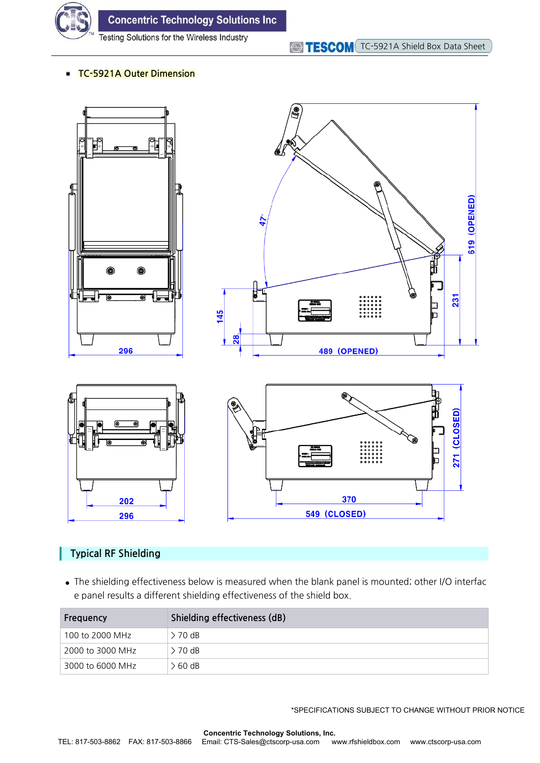

**Concentric Technology Solutions Inc** 

Testing Solutions for the Wireless Industry

#### **TC-5921A Outer Dimension**



#### **Typical RF Shielding**

**●** The shielding effectiveness below is measured when the blank panel is mounted; other I/O interfac e panel results a different shielding effectiveness of the shield box.

| Frequency        | Shielding effectiveness (dB) |  |  |
|------------------|------------------------------|--|--|
| 100 to 2000 MHz  | > 70 dB                      |  |  |
| 2000 to 3000 MHz | $> 70$ dB                    |  |  |
| 3000 to 6000 MHz | > 60 dB                      |  |  |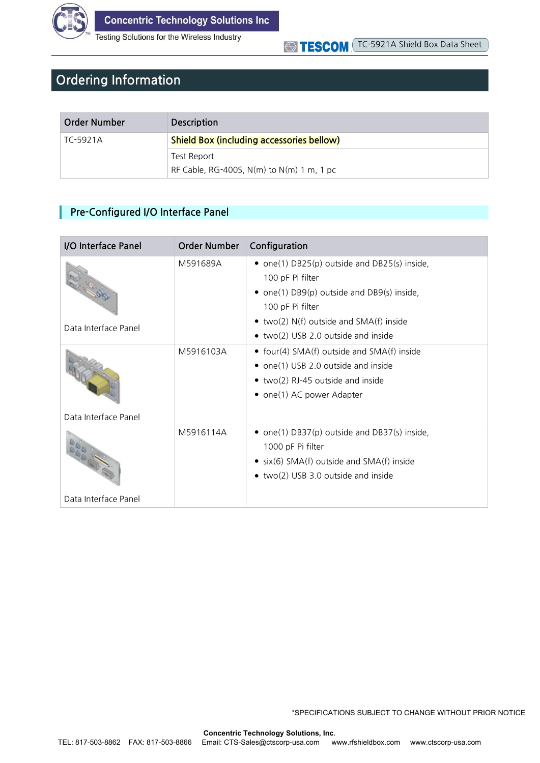

Testing Solutions for the Wireless Industry

#### TC-5921A Shield Box Data Sheet **STESCOM**

### **Ordering Information**

| Order Number | <b>Description</b>                               |
|--------------|--------------------------------------------------|
| TC-5921A     | <b>Shield Box (including accessories bellow)</b> |
|              | Test Report                                      |
|              | RF Cable, RG-400S, N(m) to N(m) 1 m, 1 pc        |

#### **Pre-Configured I/O Interface Panel**

| I/O Interface Panel  | <b>Order Number</b> | Configuration                                                                                                                                                                                                                    |
|----------------------|---------------------|----------------------------------------------------------------------------------------------------------------------------------------------------------------------------------------------------------------------------------|
| Data Interface Panel | M591689A            | • one(1) $DB25(p)$ outside and $DB25(s)$ inside,<br>100 pF Pi filter<br>• one(1) $DB9(p)$ outside and $DB9(s)$ inside,<br>100 pF Pi filter<br>• two(2) $N(f)$ outside and $SMA(f)$ inside<br>• two(2) USB 2.0 outside and inside |
| Data Interface Panel | M5916103A           | • four(4) $SMA(f)$ outside and $SMA(f)$ inside<br>• $one(1)$ USB 2.0 outside and inside<br>• two(2) RJ-45 outside and inside<br>• one(1) AC power Adapter                                                                        |
|                      | M5916114A           | • one(1) DB37(p) outside and DB37(s) inside,<br>1000 pF Pi filter<br>• $six(6)$ SMA(f) outside and SMA(f) inside<br>• two(2) USB 3.0 outside and inside                                                                          |
| Data Interface Panel |                     |                                                                                                                                                                                                                                  |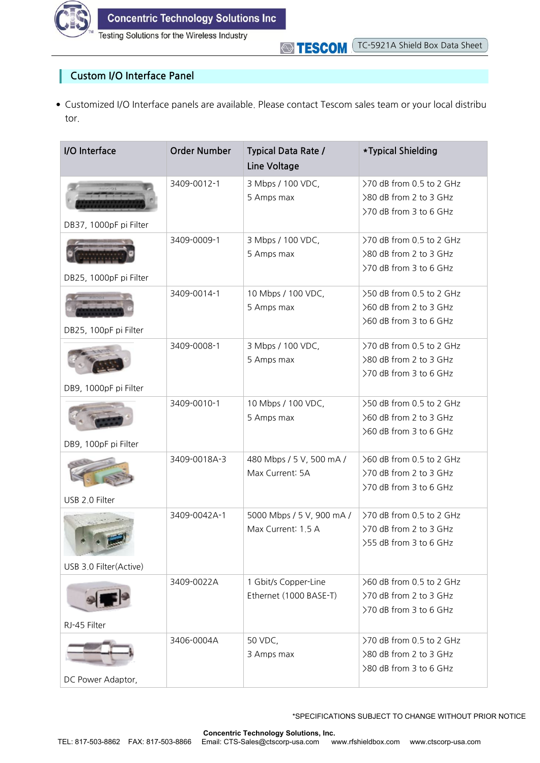

I

Testing Solutions for the Wireless Industry

#### **Custom I/O Interface Panel**

● Customized I/O Interface panels are available. Please contact Tescom sales team or your local distribu tor.

| I/O Interface                                    | <b>Order Number</b> | <b>Typical Data Rate /</b><br>Line Voltage      | *Typical Shielding                                                             |
|--------------------------------------------------|---------------------|-------------------------------------------------|--------------------------------------------------------------------------------|
|                                                  | 3409-0012-1         | 3 Mbps / 100 VDC,<br>5 Amps max                 | >70 dB from 0.5 to 2 GHz<br>>80 dB from 2 to 3 GHz<br>>70 dB from 3 to 6 GHz   |
| DB37, 1000pF pi Filter<br>DB25, 1000pF pi Filter | 3409-0009-1         | 3 Mbps / 100 VDC,<br>5 Amps max                 | >70 dB from 0.5 to 2 GHz<br>>80 dB from 2 to 3 GHz<br>>70 dB from 3 to 6 GHz   |
| DB25, 100pF pi Filter                            | 3409-0014-1         | 10 Mbps / 100 VDC,<br>5 Amps max                | >50 dB from 0.5 to 2 GHz<br>>60 dB from 2 to 3 GHz<br>>60 dB from 3 to 6 GHz   |
| DB9, 1000pF pi Filter                            | 3409-0008-1         | 3 Mbps / 100 VDC,<br>5 Amps max                 | >70 dB from 0.5 to 2 GHz<br>>80 dB from 2 to 3 GHz<br>>70 dB from 3 to 6 GHz   |
| DB9, 100pF pi Filter                             | 3409-0010-1         | 10 Mbps / 100 VDC,<br>5 Amps max                | >50 dB from 0.5 to 2 GHz<br>>60 dB from 2 to 3 GHz<br>>60 dB from 3 to 6 GHz   |
| USB 2.0 Filter                                   | 3409-0018A-3        | 480 Mbps / 5 V, 500 mA /<br>Max Current: 5A     | >60 dB from 0.5 to 2 GHz<br>>70 dB from 2 to 3 GHz<br>>70 dB from 3 to 6 GHz   |
| USB 3.0 Filter(Active)                           | 3409-0042A-1        | 5000 Mbps / 5 V, 900 mA /<br>Max Current: 1.5 A | >70 dB from 0.5 to 2 GHz<br>>70 dB from 2 to 3 GHz<br>>55 dB from 3 to 6 GHz   |
| RJ-45 Filter                                     | 3409-0022A          | 1 Gbit/s Copper-Line<br>Ethernet (1000 BASE-T)  | $>60$ dB from 0.5 to 2 GHz<br>>70 dB from 2 to 3 GHz<br>>70 dB from 3 to 6 GHz |
| DC Power Adaptor,                                | 3406-0004A          | 50 VDC,<br>3 Amps max                           | >70 dB from 0.5 to 2 GHz<br>>80 dB from 2 to 3 GHz<br>>80 dB from 3 to 6 GHz   |